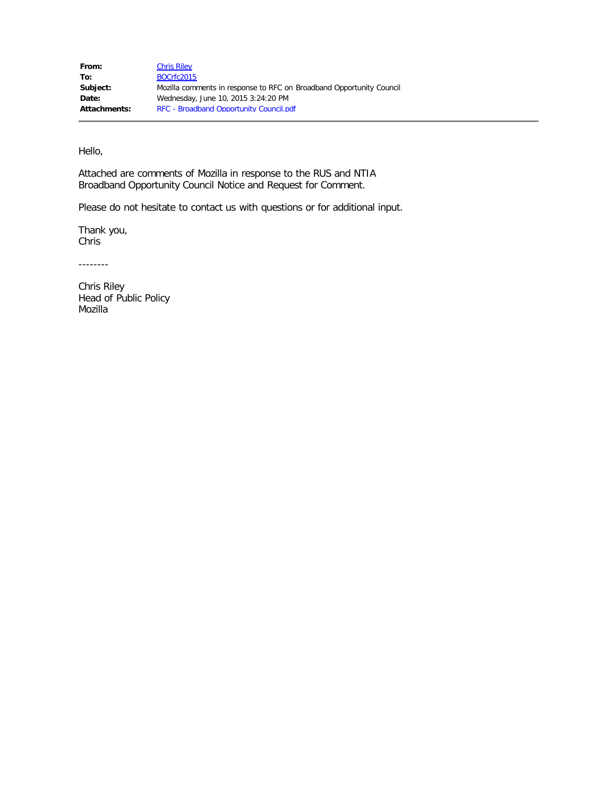Hello,

Attached are comments of Mozilla in response to the RUS and NTIA Broadband Opportunity Council Notice and Request for Comment.

Please do not hesitate to contact us with questions or for additional input.

Thank you, Chris

--------

Chris Riley Head of Public Policy Mozilla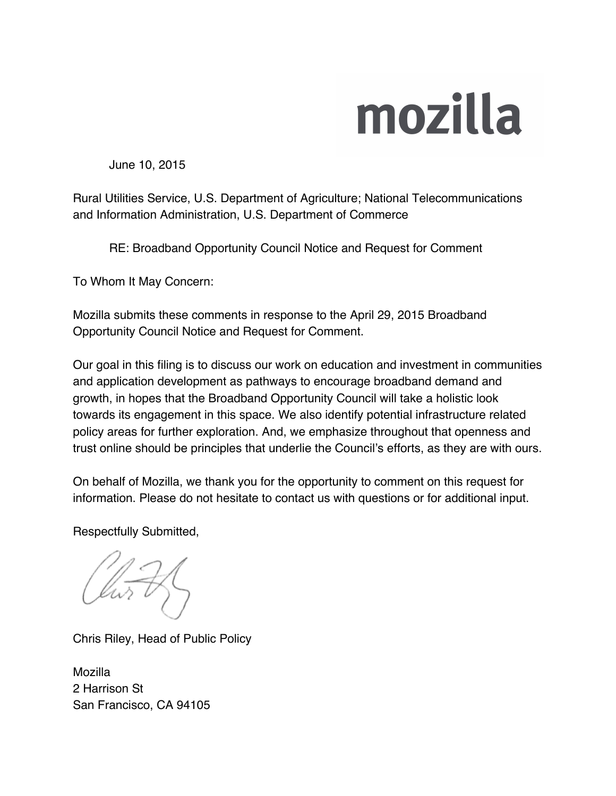## mozilla

June 10, 2015

Rural Utilities Service, U.S. Department of Agriculture; National Telecommunications and Information Administration, U.S. Department of Commerce

RE: Broadband Opportunity Council Notice and Request for Comment

To Whom It May Concern:

Mozilla submits these comments in response to the April 29, 2015 Broadband Opportunity Council Notice and Request for Comment.

Our goal in this filing is to discuss our work on education and investment in communities and application development as pathways to encourage broadband demand and growth, in hopes that the Broadband Opportunity Council will take a holistic look towards its engagement in this space. We also identify potential infrastructure related policy areas for further exploration. And, we emphasize throughout that openness and trust online should be principles that underlie the Council's efforts, as they are with ours.

On behalf of Mozilla, we thank you for the opportunity to comment on this request for information. Please do not hesitate to contact us with questions or for additional input.

Respectfully Submitted,

Chris Riley, Head of Public Policy

Mozilla 2 Harrison St San Francisco, CA 94105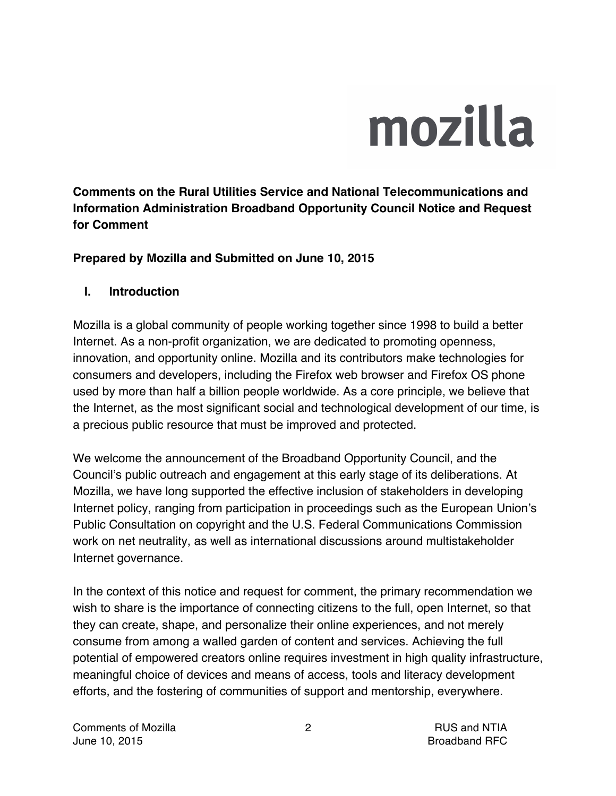# mozilla

**Comments on the Rural Utilities Service and National Telecommunications and Information Administration Broadband Opportunity Council Notice and Request for Comment**

#### **Prepared by Mozilla and Submitted on June 10, 2015**

#### **I. Introduction**

Mozilla is a global community of people working together since 1998 to build a better Internet. As a non-profit organization, we are dedicated to promoting openness, innovation, and opportunity online. Mozilla and its contributors make technologies for consumers and developers, including the Firefox web browser and Firefox OS phone used by more than half a billion people worldwide. As a core principle, we believe that the Internet, as the most significant social and technological development of our time, is a precious public resource that must be improved and protected.

We welcome the announcement of the Broadband Opportunity Council, and the Council's public outreach and engagement at this early stage of its deliberations. At Mozilla, we have long supported the effective inclusion of stakeholders in developing Internet policy, ranging from participation in proceedings such as the European Union's Public Consultation on copyright and the U.S. Federal Communications Commission work on net neutrality, as well as international discussions around multistakeholder Internet governance.

In the context of this notice and request for comment, the primary recommendation we wish to share is the importance of connecting citizens to the full, open Internet, so that they can create, shape, and personalize their online experiences, and not merely consume from among a walled garden of content and services. Achieving the full potential of empowered creators online requires investment in high quality infrastructure, meaningful choice of devices and means of access, tools and literacy development efforts, and the fostering of communities of support and mentorship, everywhere.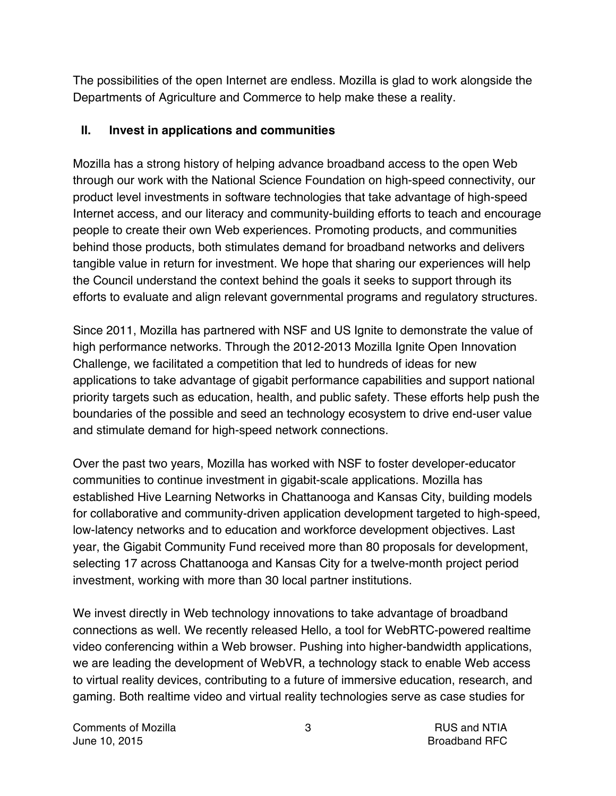The possibilities of the open Internet are endless. Mozilla is glad to work alongside the Departments of Agriculture and Commerce to help make these a reality.

#### **II. Invest in applications and communities**

Mozilla has a strong history of helping advance broadband access to the open Web through our work with the National Science Foundation on high-speed connectivity, our product level investments in software technologies that take advantage of high-speed Internet access, and our literacy and community-building efforts to teach and encourage people to create their own Web experiences. Promoting products, and communities behind those products, both stimulates demand for broadband networks and delivers tangible value in return for investment. We hope that sharing our experiences will help the Council understand the context behind the goals it seeks to support through its efforts to evaluate and align relevant governmental programs and regulatory structures.

Since 2011, Mozilla has partnered with NSF and US Ignite to demonstrate the value of high performance networks. Through the 2012-2013 Mozilla Ignite Open Innovation Challenge, we facilitated a competition that led to hundreds of ideas for new applications to take advantage of gigabit performance capabilities and support national priority targets such as education, health, and public safety. These efforts help push the boundaries of the possible and seed an technology ecosystem to drive end-user value and stimulate demand for high-speed network connections.

Over the past two years, Mozilla has worked with NSF to foster developer-educator communities to continue investment in gigabit-scale applications. Mozilla has established Hive Learning Networks in Chattanooga and Kansas City, building models for collaborative and community-driven application development targeted to high-speed, low-latency networks and to education and workforce development objectives. Last year, the Gigabit Community Fund received more than 80 proposals for development, selecting 17 across Chattanooga and Kansas City for a twelve-month project period investment, working with more than 30 local partner institutions.

We invest directly in Web technology innovations to take advantage of broadband connections as well. We recently released Hello, a tool for WebRTC-powered realtime video conferencing within a Web browser. Pushing into higher-bandwidth applications, we are leading the development of WebVR, a technology stack to enable Web access to virtual reality devices, contributing to a future of immersive education, research, and gaming. Both realtime video and virtual reality technologies serve as case studies for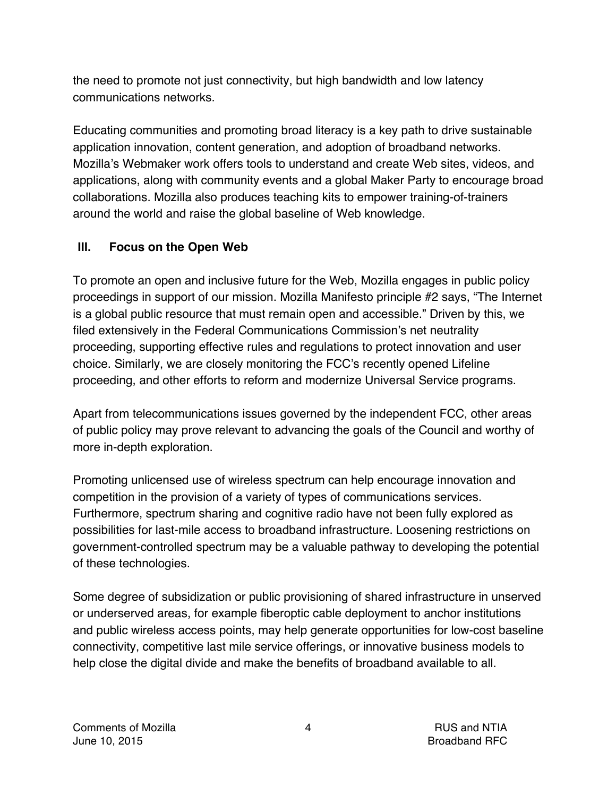the need to promote not just connectivity, but high bandwidth and low latency communications networks.

Educating communities and promoting broad literacy is a key path to drive sustainable application innovation, content generation, and adoption of broadband networks. Mozilla's Webmaker work offers tools to understand and create Web sites, videos, and applications, along with community events and a global Maker Party to encourage broad collaborations. Mozilla also produces teaching kits to empower training-of-trainers around the world and raise the global baseline of Web knowledge.

## **III. Focus on the Open Web**

To promote an open and inclusive future for the Web, Mozilla engages in public policy proceedings in support of our mission. Mozilla Manifesto principle #2 says, "The Internet is a global public resource that must remain open and accessible." Driven by this, we filed extensively in the Federal Communications Commission's net neutrality proceeding, supporting effective rules and regulations to protect innovation and user choice. Similarly, we are closely monitoring the FCC's recently opened Lifeline proceeding, and other efforts to reform and modernize Universal Service programs.

Apart from telecommunications issues governed by the independent FCC, other areas of public policy may prove relevant to advancing the goals of the Council and worthy of more in-depth exploration.

Promoting unlicensed use of wireless spectrum can help encourage innovation and competition in the provision of a variety of types of communications services. Furthermore, spectrum sharing and cognitive radio have not been fully explored as possibilities for last-mile access to broadband infrastructure. Loosening restrictions on government-controlled spectrum may be a valuable pathway to developing the potential of these technologies.

Some degree of subsidization or public provisioning of shared infrastructure in unserved or underserved areas, for example fiberoptic cable deployment to anchor institutions and public wireless access points, may help generate opportunities for low-cost baseline connectivity, competitive last mile service offerings, or innovative business models to help close the digital divide and make the benefits of broadband available to all.